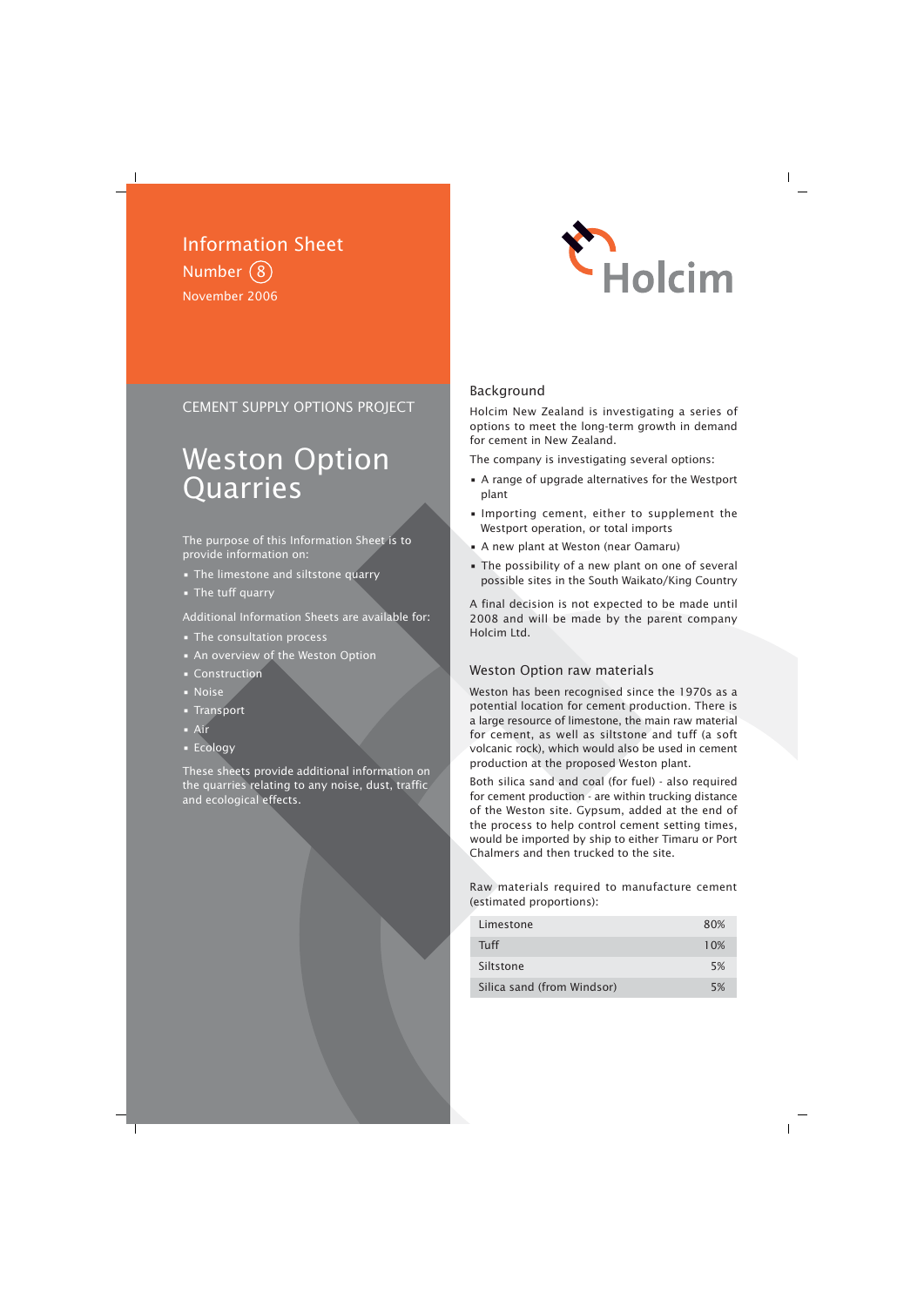## Information Sheet Number 8 November 2006



### CEMENT SUPPLY OPTIONS PROJECT

# Weston Option Quarries

The purpose of this Information Sheet is to provide information on:

- The limestone and siltstone quarry
- The tuff quarry

Additional Information Sheets are available for:

- The consultation process
- An overview of the Weston Option
- Construction
- Noise
- Transport
- Air
- Ecology

These sheets provide additional information on the quarries relating to any noise, dust, traffic and ecological effects.

### Background

Holcim New Zealand is investigating a series of options to meet the long-term growth in demand for cement in New Zealand.

The company is investigating several options:

- A range of upgrade alternatives for the Westport plant
- Importing cement, either to supplement the Westport operation, or total imports
- A new plant at Weston (near Oamaru)
- The possibility of a new plant on one of several possible sites in the South Waikato/King Country

A final decision is not expected to be made until 2008 and will be made by the parent company Holcim Ltd.

#### Weston Option raw materials

Weston has been recognised since the 1970s as a potential location for cement production. There is a large resource of limestone, the main raw material for cement, as well as siltstone and tuff (a soft volcanic rock), which would also be used in cement production at the proposed Weston plant.

Both silica sand and coal (for fuel) - also required for cement production - are within trucking distance of the Weston site. Gypsum, added at the end of the process to help control cement setting times, would be imported by ship to either Timaru or Port Chalmers and then trucked to the site.

Raw materials required to manufacture cement (estimated proportions):

| Limestone                  | 80% |
|----------------------------|-----|
| <b>Tuff</b>                | 10% |
| Siltstone                  | 5%  |
| Silica sand (from Windsor) | 5%  |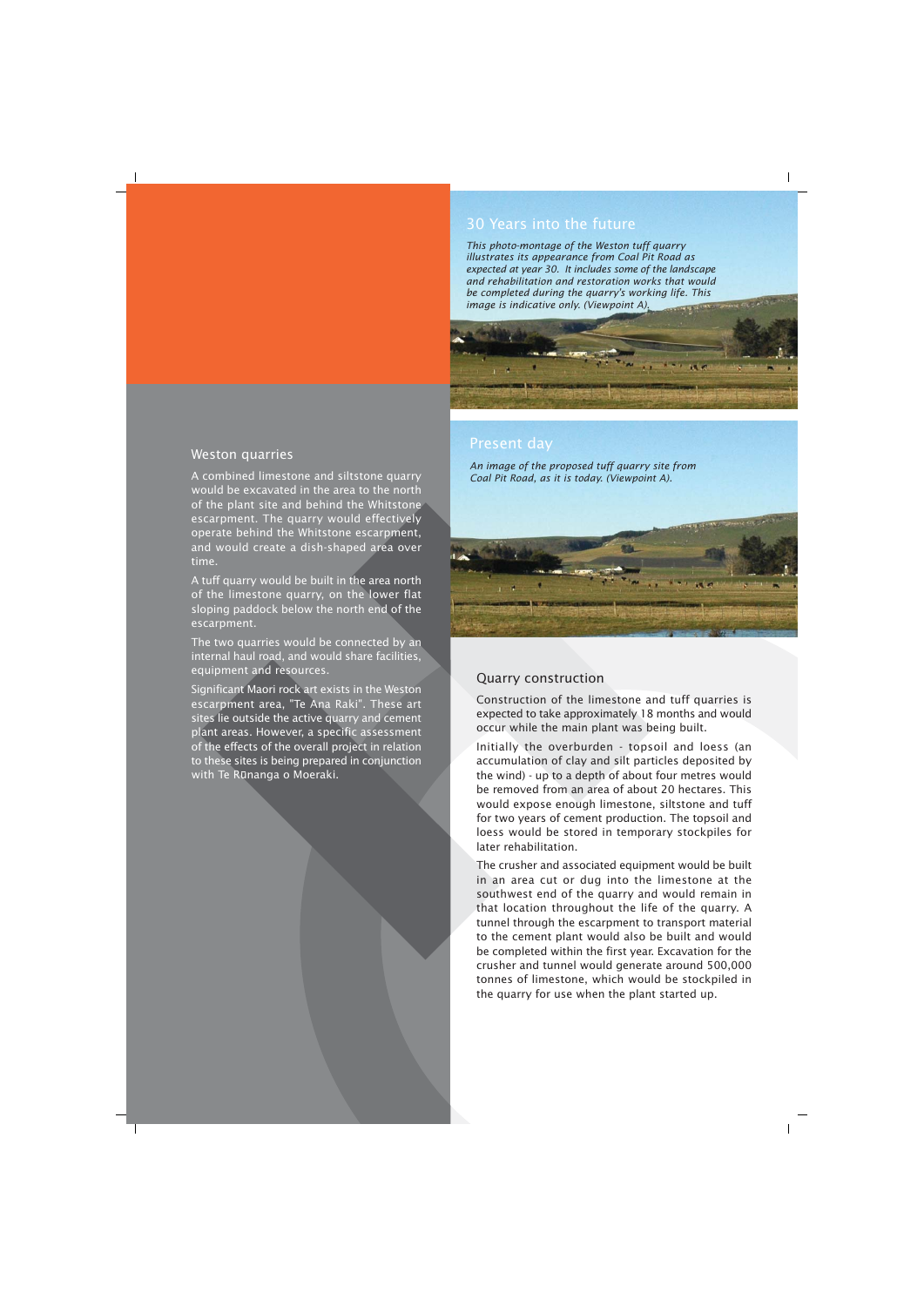#### 30 Years into the future

*This photo-montage of the Weston tuff quarry illustrates its appearance from Coal Pit Road as expected at year 30. It includes some of the landscape and rehabilitation and restoration works that would be completed during the quarry's working life. This image is indicative only. (Viewpoint A).*



*An image of the proposed tuff quarry site from Coal Pit Road, as it is today. (Viewpoint A).*

# Present day Weston quarries

#### Quarry construction

Construction of the limestone and tuff quarries is expected to take approximately 18 months and would occur while the main plant was being built.

Initially the overburden - topsoil and loess (an accumulation of clay and silt particles deposited by the wind) - up to a depth of about four metres would be removed from an area of about 20 hectares. This would expose enough limestone, siltstone and tuff for two years of cement production. The topsoil and loess would be stored in temporary stockpiles for later rehabilitation.

The crusher and associated equipment would be built in an area cut or dug into the limestone at the southwest end of the quarry and would remain in that location throughout the life of the quarry. A tunnel through the escarpment to transport material to the cement plant would also be built and would be completed within the first year. Excavation for the crusher and tunnel would generate around 500,000 tonnes of limestone, which would be stockpiled in the quarry for use when the plant started up.

A combined limestone and siltstone quarry would be excavated in the area to the north of the plant site and behind the Whitstone escarpment. The quarry would effectively operate behind the Whitstone escarpment, and would create a dish-shaped area over time.

A tuff quarry would be built in the area north of the limestone quarry, on the lower flat sloping paddock below the north end of the escarpment.

The two quarries would be connected by an internal haul road, and would share facilities, equipment and resources.

Significant Maori rock art exists in the Weston escarpment area, "Te Ana Raki". These art sites lie outside the active quarry and cement plant areas. However, a specific assessment of the effects of the overall project in relation to these sites is being prepared in conjunction with Te Rūnanga o Moeraki.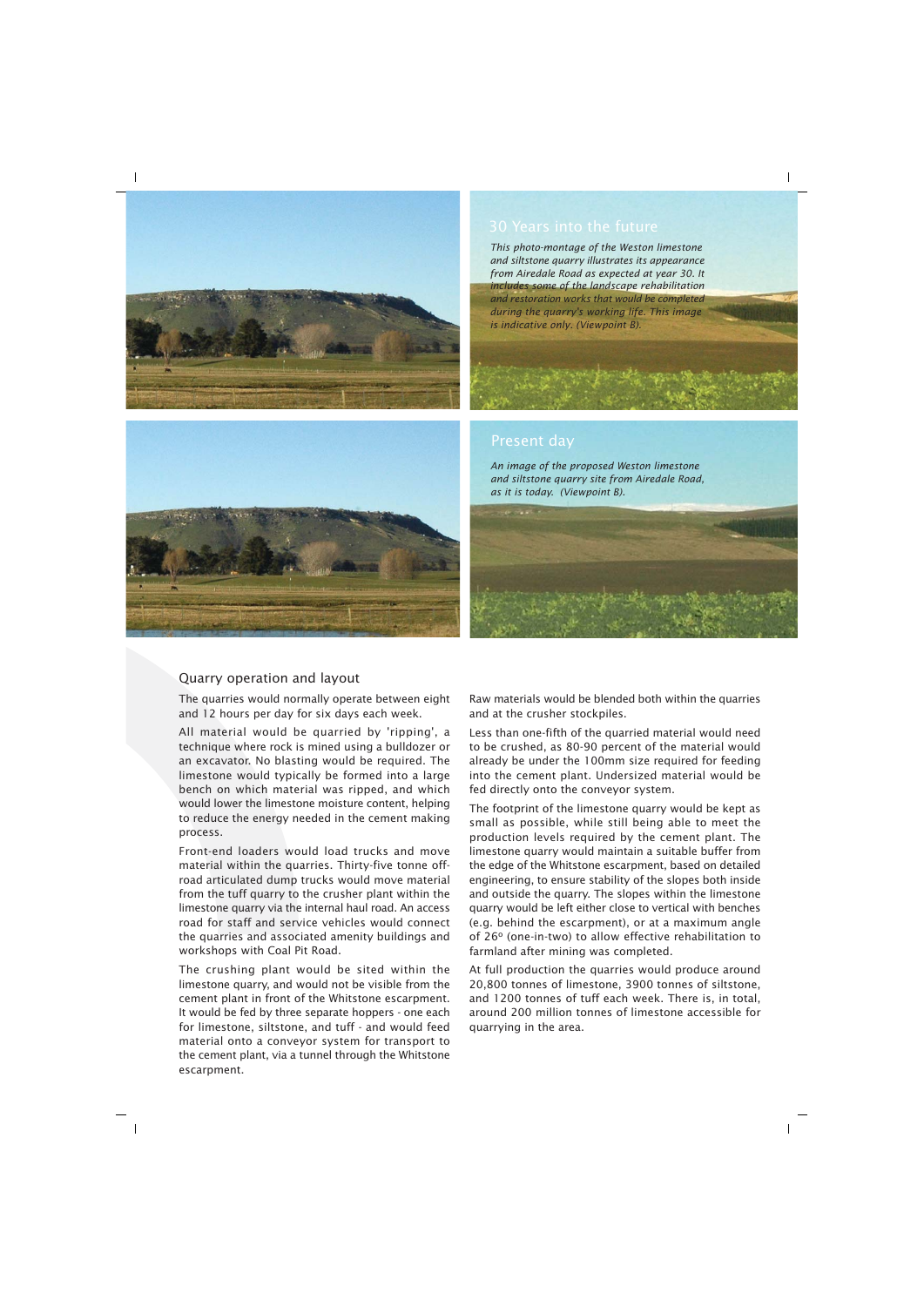

*This photo-montage of the Weston limestone and siltstone quarry illustrates its appearance from Airedale Road as expected at year 30. It includes some of the landscape rehabilitation and restoration works that would be completed during the quarry's working life. This image is indicative only. (Viewpoint B).*

#### Present day

*An image of the proposed Weston limestone and siltstone quarry site from Airedale Road, as it is today. (Viewpoint B).*

#### Quarry operation and layout

The quarries would normally operate between eight and 12 hours per day for six days each week.

All material would be quarried by 'ripping', a technique where rock is mined using a bulldozer or an excavator. No blasting would be required. The limestone would typically be formed into a large bench on which material was ripped, and which would lower the limestone moisture content, helping to reduce the energy needed in the cement making process.

Front-end loaders would load trucks and move material within the quarries. Thirty-five tonne offroad articulated dump trucks would move material from the tuff quarry to the crusher plant within the limestone quarry via the internal haul road. An access road for staff and service vehicles would connect the quarries and associated amenity buildings and workshops with Coal Pit Road.

The crushing plant would be sited within the limestone quarry, and would not be visible from the cement plant in front of the Whitstone escarpment. It would be fed by three separate hoppers - one each for limestone, siltstone, and tuff - and would feed material onto a conveyor system for transport to the cement plant, via a tunnel through the Whitstone escarpment.

Raw materials would be blended both within the quarries and at the crusher stockpiles.

Less than one-fifth of the quarried material would need to be crushed, as 80-90 percent of the material would already be under the 100mm size required for feeding into the cement plant. Undersized material would be fed directly onto the conveyor system.

The footprint of the limestone quarry would be kept as small as possible, while still being able to meet the production levels required by the cement plant. The limestone quarry would maintain a suitable buffer from the edge of the Whitstone escarpment, based on detailed engineering, to ensure stability of the slopes both inside and outside the quarry. The slopes within the limestone quarry would be left either close to vertical with benches (e.g. behind the escarpment), or at a maximum angle of 26° (one-in-two) to allow effective rehabilitation to farmland after mining was completed.

At full production the quarries would produce around 20,800 tonnes of limestone, 3900 tonnes of siltstone, and 1200 tonnes of tuff each week. There is, in total, around 200 million tonnes of limestone accessible for quarrying in the area.

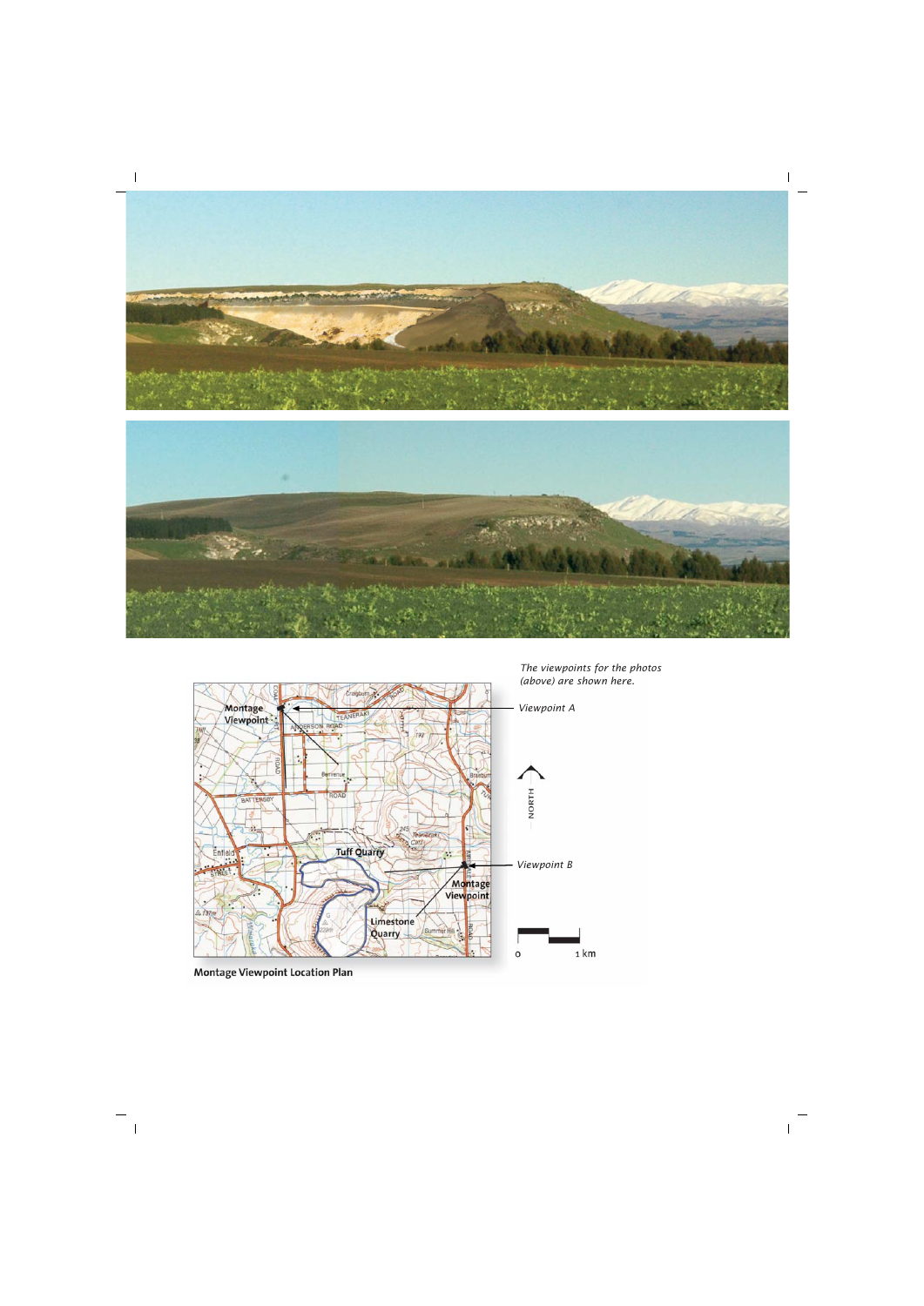



*The viewpoints for the photos (above) are shown here.*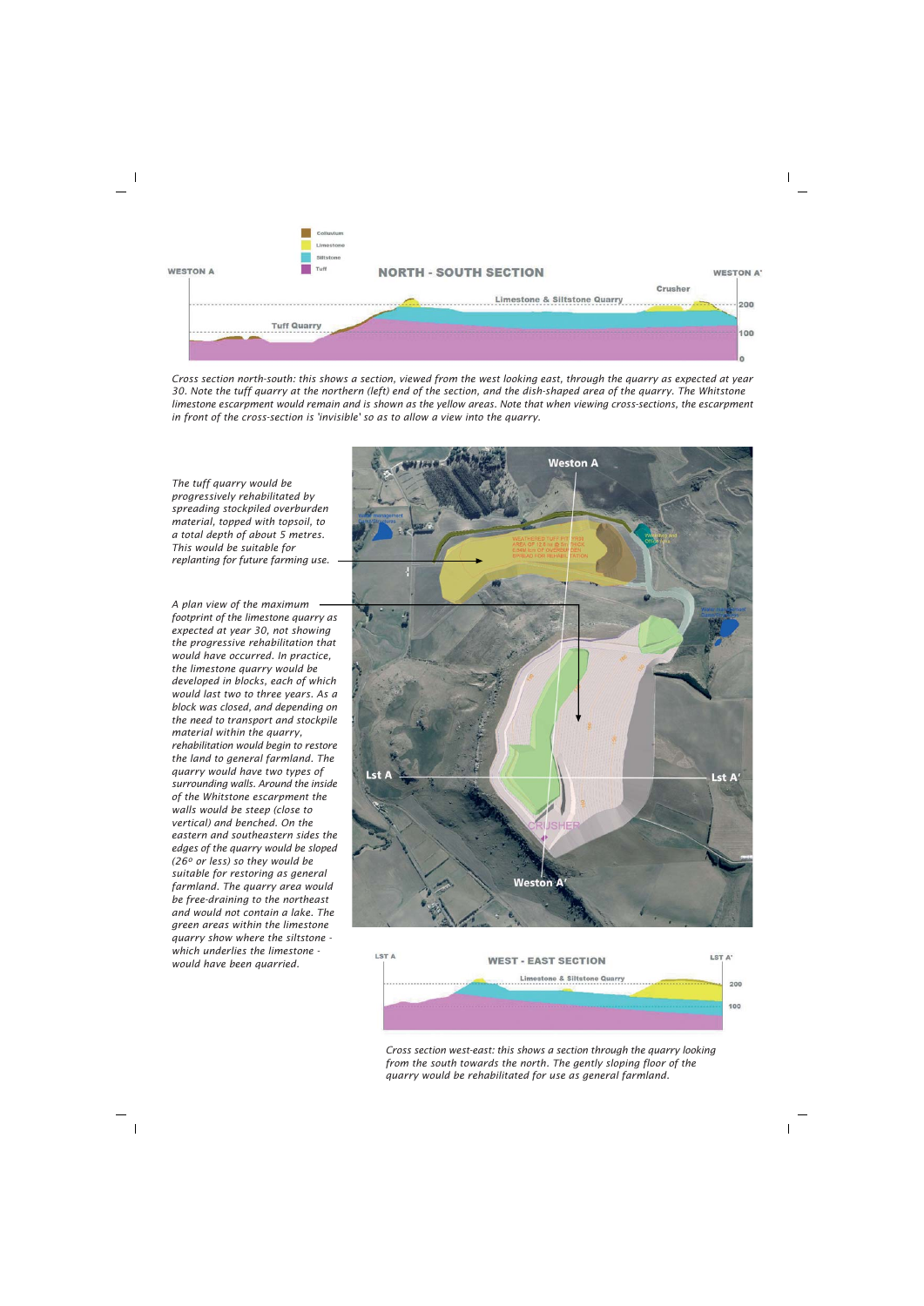

*Cross section north-south: this shows a section, viewed from the west looking east, through the quarry as expected at year 30. Note the tuff quarry at the northern (left) end of the section, and the dish-shaped area of the quarry. The Whitstone limestone escarpment would remain and is shown as the yellow areas. Note that when viewing cross-sections, the escarpment in front of the cross-section is 'invisible' so as to allow a view into the quarry.*

*The tuff quarry would be progressively rehabilitated by spreading stockpiled overburden material, topped with topsoil, to a total depth of about 5 metres. This would be suitable for replanting for future farming use.*

*A plan view of the maximum footprint of the limestone quarry as expected at year 30, not showing the progressive rehabilitation that would have occurred. In practice, the limestone quarry would be developed in blocks, each of which would last two to three years. As a block was closed, and depending on the need to transport and stockpile material within the quarry, rehabilitation would begin to restore the land to general farmland. The quarry would have two types of surrounding walls. Around the inside of the Whitstone escarpment the walls would be steep (close to vertical) and benched. On the eastern and southeastern sides the edges of the quarry would be sloped (26o or less) so they would be suitable for restoring as general farmland. The quarry area would be free-draining to the northeast and would not contain a lake. The green areas within the limestone quarry show where the siltstone which underlies the limestone would have been quarried.*





*Cross section west-east: this shows a section through the quarry looking from the south towards the north. The gently sloping floor of the quarry would be rehabilitated for use as general farmland.*